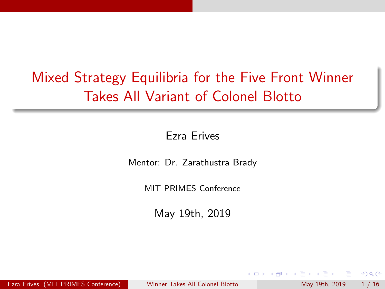# <span id="page-0-0"></span>Mixed Strategy Equilibria for the Five Front Winner Takes All Variant of Colonel Blotto

#### Ezra Erives

Mentor: Dr. Zarathustra Brady

MIT PRIMES Conference

May 19th, 2019

Ezra Erives (MIT PRIMES Conference) [Winner Takes All Colonel Blotto](#page-51-0) May 19th, 2019 1/16

 $\Omega$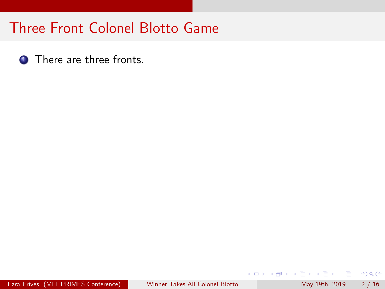**1** There are three fronts.

 $\equiv$ 

メロト メ押 トメミト メミ

 $OQ$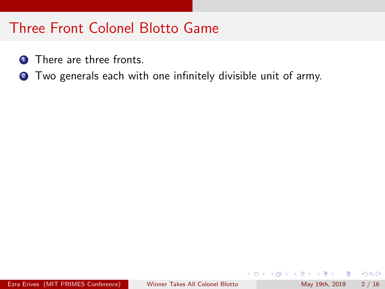- **1** There are three fronts.
- <sup>2</sup> Two generals each with one infinitely divisible unit of army.

目

 $\Omega$ 

医氯化医

 $\leftarrow$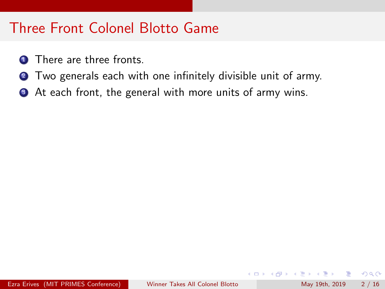- **1** There are three fronts.
- **2** Two generals each with one infinitely divisible unit of army.
- **3** At each front, the general with more units of army wins.

÷

 $QQ$ 

na m≊

Ŧь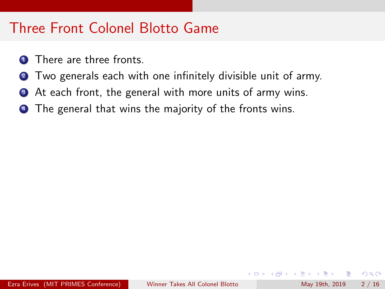- There are three fronts.
- **2** Two generals each with one infinitely divisible unit of army.
- **3** At each front, the general with more units of army wins.
- **4** The general that wins the majority of the fronts wins.

 $QQ$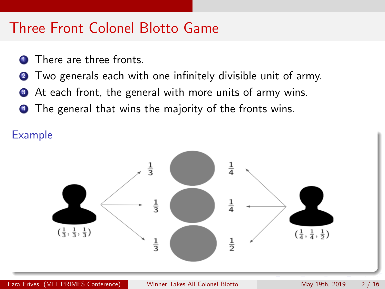- There are three fronts.
- **2** Two generals each with one infinitely divisible unit of army.
- **3** At each front, the general with more units of army wins.
- **4** The general that wins the majority of the fronts wins.

Example

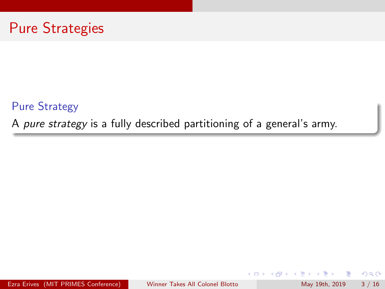

Pure Strategy

A pure strategy is a fully described partitioning of a general's army.

Ezra Erives (MIT PRIMES Conference) [Winner Takes All Colonel Blotto](#page-0-0) May 19th, 2019 3 / 16

4.0.3

目

 $QQ$ 

B.X **A** To

 $\blacktriangleright$   $\blacktriangleleft$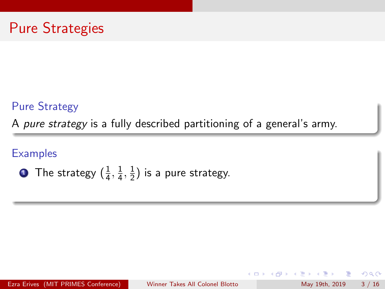#### Pure Strategy

A pure strategy is a fully described partitioning of a general's army.

#### **Examples**

• The strategy 
$$
(\frac{1}{4}, \frac{1}{4}, \frac{1}{2})
$$
 is a pure strategy.

Ezra Erives (MIT PRIMES Conference) [Winner Takes All Colonel Blotto](#page-0-0) May 19th, 2019 3 / 16

 $\leftarrow$ 

目

 $QQ$ 

B.X  $\equiv$ 

 $-4$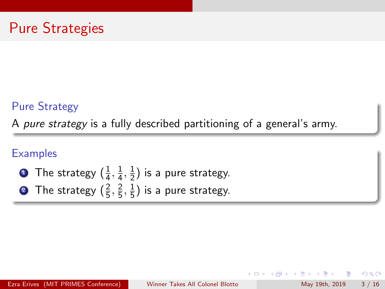#### Pure Strategy

A pure strategy is a fully described partitioning of a general's army.

### **Examples**

- $\textbf{1}$  The strategy  $(\frac{1}{4},\frac{1}{4})$  $\frac{1}{4}, \frac{1}{2}$  $(\frac{1}{2})$  is a pure strategy.
- **2** The strategy  $(\frac{2}{5}, \frac{2}{5})$  $\frac{2}{5}, \frac{1}{5}$  $(\frac{1}{5})$  is a pure strategy.

 $\Omega$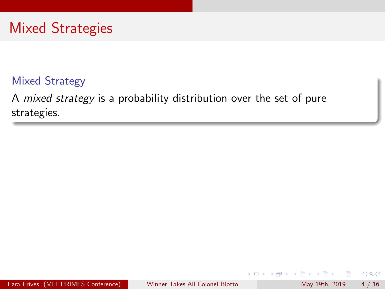# Mixed Strategies

### Mixed Strategy

A mixed strategy is a probability distribution over the set of pure strategies.

目

 $QQ$ 

∋ »  $\equiv$ 

14.

 $\leftarrow$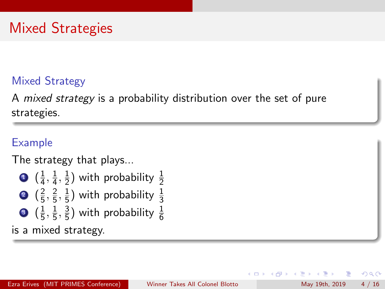### Mixed Strategy

A mixed strategy is a probability distribution over the set of pure strategies.

### Example

The strategy that plays...

- $\mathbf{D}$   $(\frac{1}{4}$  $\frac{1}{4}, \frac{1}{4}$  $\frac{1}{4}, \frac{1}{2}$  $\frac{1}{2}$ ) with probability  $\frac{1}{2}$
- $2\left(\frac{2}{5}\right)$  $\frac{2}{5}$ ,  $\frac{2}{5}$  $\frac{2}{5}, \frac{1}{5}$  $\frac{1}{5}$ ) with probability  $\frac{1}{3}$
- 3  $(\frac{1}{5})$  $\frac{1}{5}, \frac{1}{5}$  $\frac{1}{5}$ ,  $\frac{3}{5}$  $\frac{3}{5}$ ) with probability  $\frac{1}{6}$

is a mixed strategy.

 $\Omega$ 

ia m≊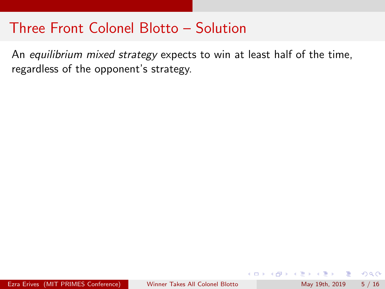An equilibrium mixed strategy expects to win at least half of the time, regardless of the opponent's strategy.

目

 $QQ$ 

Ballet B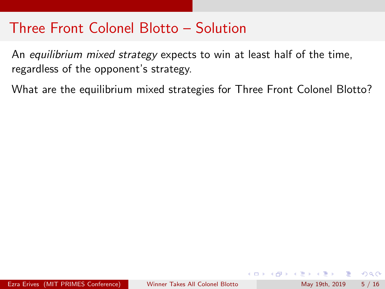An equilibrium mixed strategy expects to win at least half of the time, regardless of the opponent's strategy.

What are the equilibrium mixed strategies for Three Front Colonel Blotto?

 $\equiv$  $\Omega$ 

ヨメ メラメ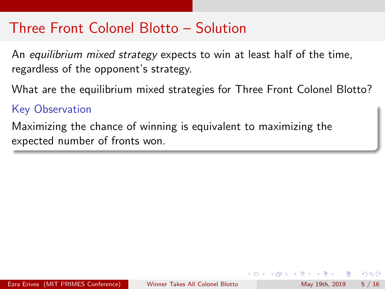An equilibrium mixed strategy expects to win at least half of the time, regardless of the opponent's strategy.

What are the equilibrium mixed strategies for Three Front Colonel Blotto?

### Key Observation

Maximizing the chance of winning is equivalent to maximizing the expected number of fronts won.

 $QQ$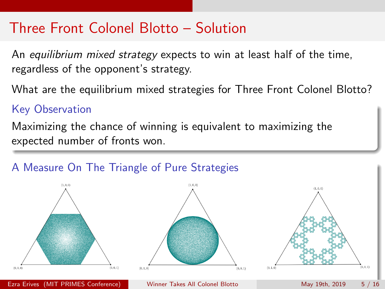An equilibrium mixed strategy expects to win at least half of the time, regardless of the opponent's strategy.

What are the equilibrium mixed strategies for Three Front Colonel Blotto?

### Key Observation

Maximizing the chance of winning is equivalent to maximizing the expected number of fronts won.

### A Measure On The Triangle of Pure Strategies

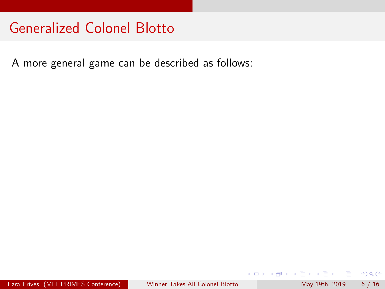A more general game can be described as follows:

4 日下

 $\rightarrow$ 

 $\equiv$ 

ヨメ メヨメ

 $ORO$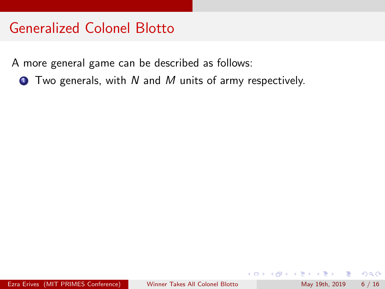A more general game can be described as follows:

 $\bullet$  Two generals, with N and M units of army respectively.

G.  $\Omega$ 

 $\equiv$ 

Ŧь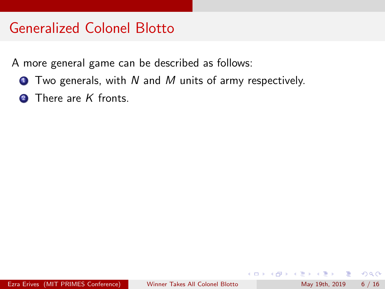A more general game can be described as follows:

- $\bullet$  Two generals, with N and M units of army respectively.
- 2 There are K fronts.

G.  $\Omega$ 

∋ » na m≊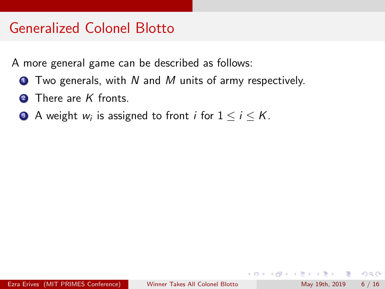A more general game can be described as follows:

- $\bullet$  Two generals, with N and M units of army respectively.
- **2** There are K fronts.
- **3** A weight  $w_i$  is assigned to front  $i$  for  $1 \leq i \leq K$ .

 $\equiv$   $\cap$   $\alpha$ 

化重新润滑脂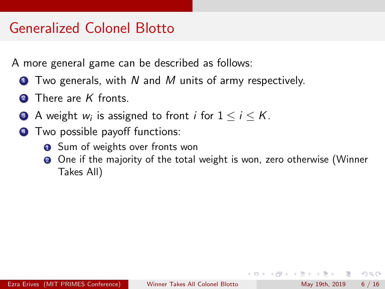A more general game can be described as follows:

- $\bullet$  Two generals, with N and M units of army respectively.
- 2 There are K fronts.
- **3** A weight  $w_i$  is assigned to front  $i$  for  $1 \leq i \leq K$ .
- **4** Two possible payoff functions:
	- **1** Sum of weights over fronts won
	- <sup>2</sup> One if the majority of the total weight is won, zero otherwise (Winner Takes All)

 $\Omega$ 

医毛囊 医牙骨下的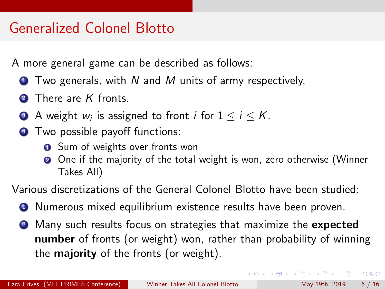A more general game can be described as follows:

- $\bullet$  Two generals, with N and M units of army respectively.
- There are  $K$  fronts.
- **3** A weight  $w_i$  is assigned to front  $i$  for  $1 \leq i \leq K$ .
- **4** Two possible payoff functions:
	- **1** Sum of weights over fronts won
	- <sup>2</sup> One if the majority of the total weight is won, zero otherwise (Winner Takes All)

Various discretizations of the General Colonel Blotto have been studied:

- **1** Numerous mixed equilibrium existence results have been proven.
- **2** Many such results focus on strategies that maximize the **expected** number of fronts (or weight) won, rather than probability of winning the **majority** of the fronts (or weight).

 $\equiv$   $\cap$   $\alpha$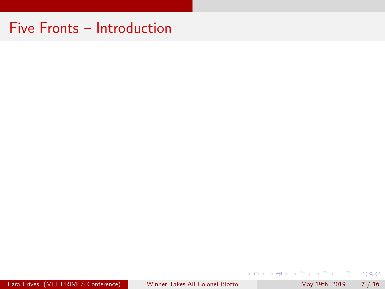Ezra Erives (MIT PRIMES Conference) [Winner Takes All Colonel Blotto](#page-0-0) May 19th, 2019 7 / 16

 $E = \Omega Q$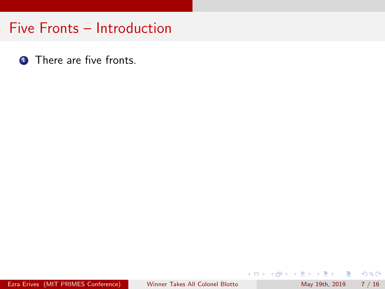**1** There are five fronts.

 $E = \Omega Q$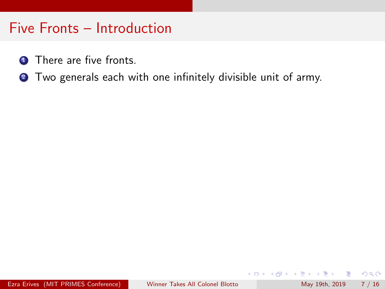- **1** There are five fronts.
- **2** Two generals each with one infinitely divisible unit of army.

4 日下

G.  $\Omega$ 

 $\triangleright$  and  $\exists$   $\triangleright$  and  $\exists$   $\triangleright$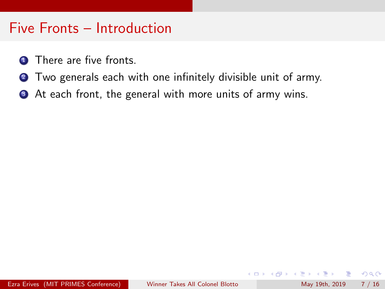- **1** There are five fronts.
- **2** Two generals each with one infinitely divisible unit of army.
- **3** At each front, the general with more units of army wins.

÷

 $QQ$ 

B.X **A** To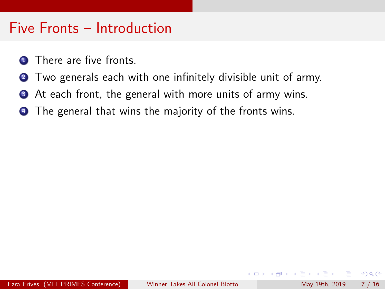- There are five fronts.
- **2** Two generals each with one infinitely divisible unit of army.
- **3** At each front, the general with more units of army wins.
- **4** The general that wins the majority of the fronts wins.

 $QQ$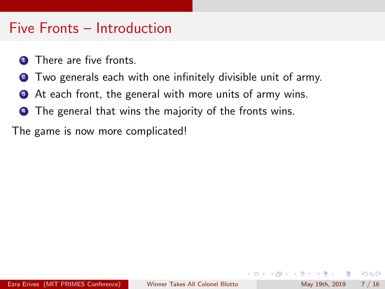- **1** There are five fronts.
- **2** Two generals each with one infinitely divisible unit of army.
- **3** At each front, the general with more units of army wins.
- **4** The general that wins the majority of the fronts wins.

The game is now more complicated!

 $QQ$ 

The South Truck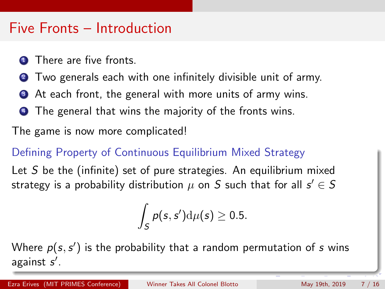- There are five fronts.
- Two generals each with one infinitely divisible unit of army.
- **3** At each front, the general with more units of army wins.
- **4** The general that wins the majority of the fronts wins.

The game is now more complicated!

#### Defining Property of Continuous Equilibrium Mixed Strategy

Let S be the (infinite) set of pure strategies. An equilibrium mixed strategy is a probability distribution  $\mu$  on  $S$  such that for all  $s' \in S$ 

$$
\int_{S} \rho(s,s') \mathrm{d}\mu(s) \geq 0.5.
$$

Where  $p(s, s')$  is the probability that a random permutation of  $s$  wins against s'.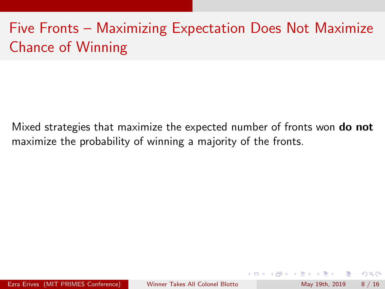# Five Fronts – Maximizing Expectation Does Not Maximize Chance of Winning

Mixed strategies that maximize the expected number of fronts won **do not** maximize the probability of winning a majority of the fronts.

 $QQ$ 

- イヨト イヨト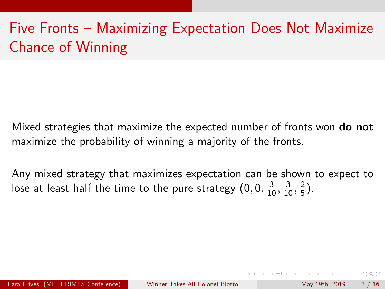# Five Fronts – Maximizing Expectation Does Not Maximize Chance of Winning

Mixed strategies that maximize the expected number of fronts won **do not** maximize the probability of winning a majority of the fronts.

Any mixed strategy that maximizes expectation can be shown to expect to lose at least half the time to the pure strategy  $(0,0,\frac{3}{10},\frac{3}{10},\frac{2}{5})$  $\frac{2}{5}$ ).

 $\Omega$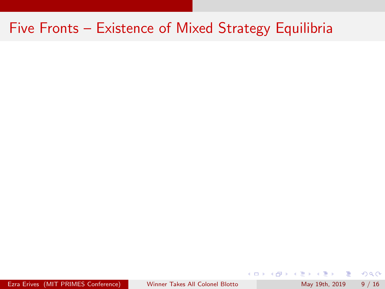Ezra Erives (MIT PRIMES Conference) [Winner Takes All Colonel Blotto](#page-0-0) May 19th, 2019 9 / 16

 $\equiv$ 

医前头面

**4 ロ ▶ 4 母 ▶ 4** 

 $OQ$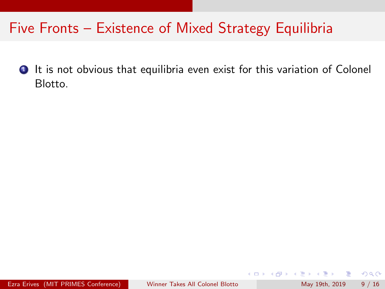**1** It is not obvious that equilibria even exist for this variation of Colonel Blotto.

4 日下

目

 $\Omega$ 

医心室 医心室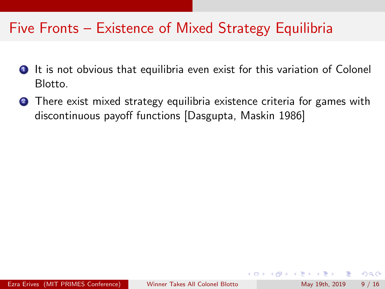- **1** It is not obvious that equilibria even exist for this variation of Colonel Blotto.
- **2** There exist mixed strategy equilibria existence criteria for games with discontinuous payoff functions [Dasgupta, Maskin 1986]

 $\Omega$ 

**The South Book**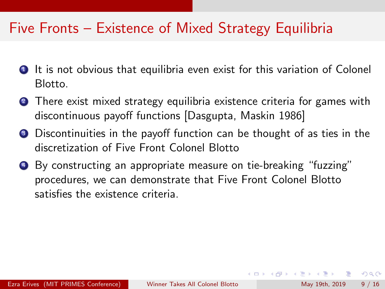- **1** It is not obvious that equilibria even exist for this variation of Colonel Blotto.
- **2** There exist mixed strategy equilibria existence criteria for games with discontinuous payoff functions [Dasgupta, Maskin 1986]
- **3** Discontinuities in the payoff function can be thought of as ties in the discretization of Five Front Colonel Blotto
- <sup>4</sup> By constructing an appropriate measure on tie-breaking "fuzzing" procedures, we can demonstrate that Five Front Colonel Blotto satisfies the existence criteria.

 $\Omega$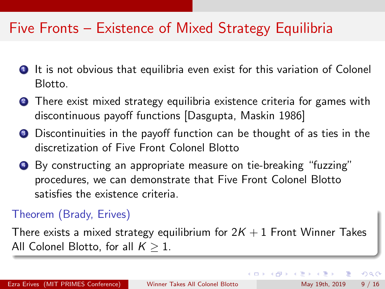- **1** It is not obvious that equilibria even exist for this variation of Colonel Blotto.
- **2** There exist mixed strategy equilibria existence criteria for games with discontinuous payoff functions [Dasgupta, Maskin 1986]
- **3** Discontinuities in the payoff function can be thought of as ties in the discretization of Five Front Colonel Blotto
- <sup>4</sup> By constructing an appropriate measure on tie-breaking "fuzzing" procedures, we can demonstrate that Five Front Colonel Blotto satisfies the existence criteria.

### Theorem (Brady, Erives)

There exists a mixed strategy equilibrium for  $2K + 1$  Front Winner Takes All Colonel Blotto, for all  $K > 1$ .

 $\Omega$ 

イロト イ押ト イヨト イヨト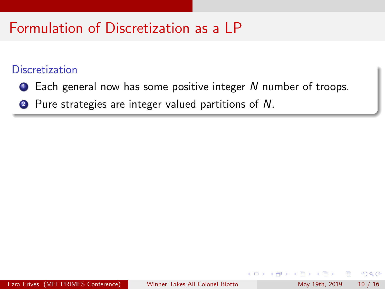## Formulation of Discretization as a LP

#### **Discretization**

- **1** Each general now has some positive integer N number of troops.
- 2 Pure strategies are integer valued partitions of N.

 $QQ$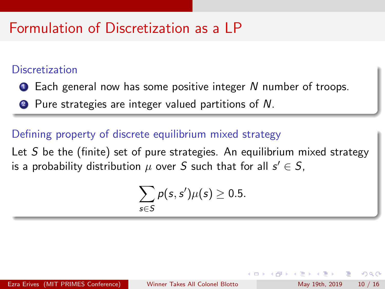## Formulation of Discretization as a LP

#### **Discretization**

- **1** Each general now has some positive integer N number of troops.
- <sup>2</sup> Pure strategies are integer valued partitions of N.

#### Defining property of discrete equilibrium mixed strategy

Let  $S$  be the (finite) set of pure strategies. An equilibrium mixed strategy is a probability distribution  $\mu$  over  $S$  such that for all  $s' \in S,$ 

$$
\sum_{s\in S}p(s,s')\mu(s)\geq 0.5.
$$

 $\Omega$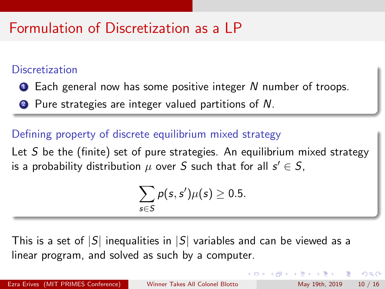## Formulation of Discretization as a LP

#### **Discretization**

- **1** Each general now has some positive integer N number of troops.
- 2 Pure strategies are integer valued partitions of N.

#### Defining property of discrete equilibrium mixed strategy

Let  $S$  be the (finite) set of pure strategies. An equilibrium mixed strategy is a probability distribution  $\mu$  over  $S$  such that for all  $s' \in S,$ 

$$
\sum_{s\in S}p(s,s')\mu(s)\geq 0.5.
$$

This is a set of  $|S|$  inequalities in  $|S|$  variables and can be viewed as a linear program, and solved as such by a computer.

 $QQ$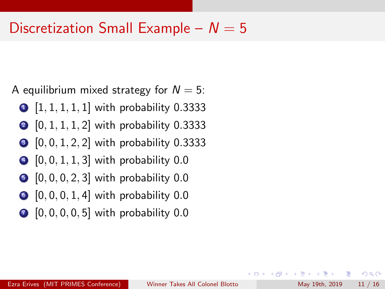## Discretization Small Example –  $N = 5$

A equilibrium mixed strategy for  $N = 5$ :

- $\bigcirc$   $[1, 1, 1, 1, 1]$  with probability 0.3333
- $[0, 1, 1, 1, 2]$  with probability 0.3333
- $\bullet$  [0, 0, 1, 2, 2] with probability 0.3333
- $\bullet$  [0, 0, 1, 1, 3] with probability 0.0
- $\bullet$  [0, 0, 0, 2, 3] with probability 0.0
- $\bigcirc$   $[0, 0, 0, 1, 4]$  with probability 0.0
- $\bigcirc$   $[0, 0, 0, 0, 5]$  with probability 0.0

- 30

 $\Omega$ 

∢何 ▶ ∢ ヨ ▶ ∢ ヨ ▶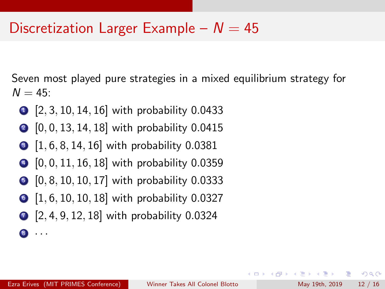## Discretization Larger Example –  $N = 45$

Seven most played pure strategies in a mixed equilibrium strategy for  $N = 45$ :

- $\bigcirc$  [2, 3, 10, 14, 16] with probability 0.0433
- $\bigcirc$  [0, 0, 13, 14, 18] with probability 0.0415
- $\bigcirc$   $[1, 6, 8, 14, 16]$  with probability 0.0381
- $\bigcirc$   $[0, 0, 11, 16, 18]$  with probability 0.0359
- **5** [0, 8, 10, 10, 17] with probability 0.0333
- $\bigcirc$  [1, 6, 10, 10, 18] with probability 0.0327
- $\bigcirc$  [2, 4, 9, 12, 18] with probability 0.0324

8 · · ·

**KOD KARD KED KED B YOUR**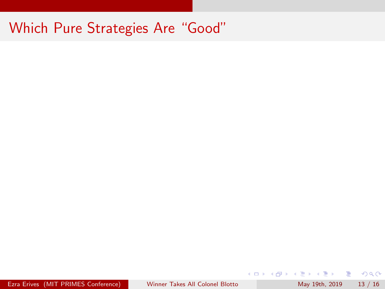Ezra Erives (MIT PRIMES Conference) [Winner Takes All Colonel Blotto](#page-0-0) May 19th, 2019 13 / 16

 $E = \Omega Q$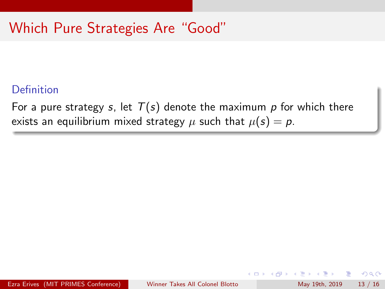#### Definition

For a pure strategy s, let  $T(s)$  denote the maximum p for which there exists an equilibrium mixed strategy  $\mu$  such that  $\mu(s) = p$ .

 $\Omega$ э.

正々 メラメ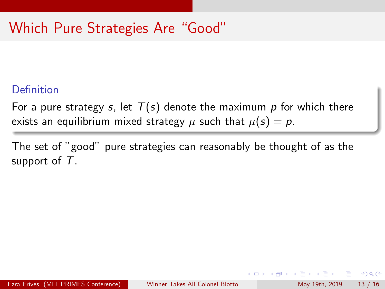#### Definition

For a pure strategy s, let  $T(s)$  denote the maximum p for which there exists an equilibrium mixed strategy  $\mu$  such that  $\mu(s) = p$ .

The set of "good" pure strategies can reasonably be thought of as the support of  $T$ .

 $\Omega$ 

A + + = + + = +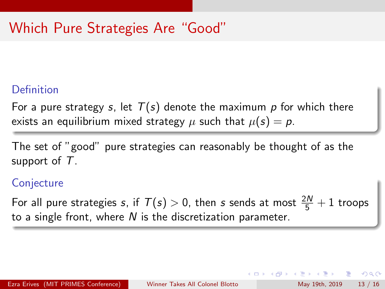#### Definition

For a pure strategy s, let  $T(s)$  denote the maximum p for which there exists an equilibrium mixed strategy  $\mu$  such that  $\mu(s) = p$ .

The set of "good" pure strategies can reasonably be thought of as the support of  $T$ .

#### **Conjecture**

For all pure strategies  $s$ , if  $\mathcal{T}(s)>0$ , then  $s$  sends at most  $\frac{2N}{5}+1$  troops to a single front, where  $N$  is the discretization parameter.

 $=$   $\Omega$ 

 $\mathbf{A} \oplus \mathbf{B}$   $\mathbf{A} \oplus \mathbf{B}$   $\mathbf{A} \oplus \mathbf{B}$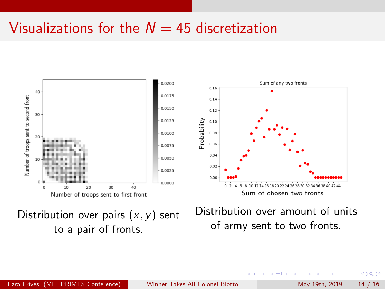## Visualizations for the  $N = 45$  discretization



to a pair of fronts.

of army sent to two fronts.

Ezra Erives (MIT PRIMES Conference) [Winner Takes All Colonel Blotto](#page-0-0) May 19th, 2019 14 / 16

 $\sim$ 

 $200$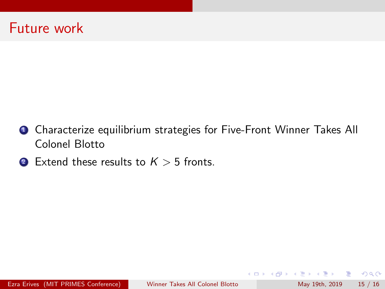## Future work

- **4** Characterize equilibrium strategies for Five-Front Winner Takes All Colonel Blotto
- **2** Extend these results to  $K > 5$  fronts.

 $\equiv$   $\Omega$ 

 $\left\{ \begin{array}{ccc} 1 & 0 & 0 \\ 0 & 1 & 0 \end{array} \right.$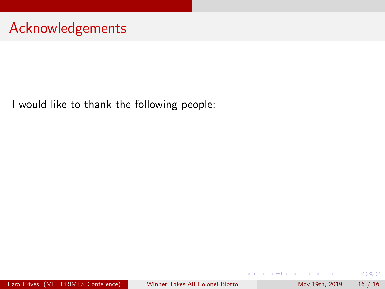## Acknowledgements

I would like to thank the following people:

Ezra Erives (MIT PRIMES Conference) [Winner Takes All Colonel Blotto](#page-0-0) May 19th, 2019 16 / 16

造

 $2990$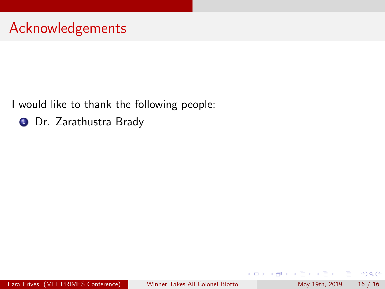**1 Dr.** Zarathustra Brady

4 日下

4 母 8 4

 $\equiv$ 

正々 メラメ

 $2990$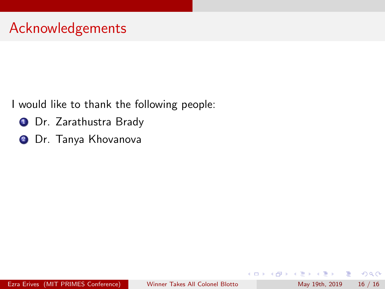- **1** Dr. Zarathustra Brady
- **2** Dr. Tanya Khovanova

4 日下

∢ n →

目

 $QQ$ 

ヨメ メヨメ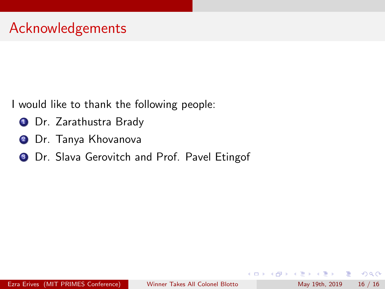- **1** Dr. Zarathustra Brady
- <sup>2</sup> Dr. Tanya Khovanova
- **3** Dr. Slava Gerovitch and Prof. Pavel Etingof

目

 $QQ$ 

ヨメ メヨメ

4 D F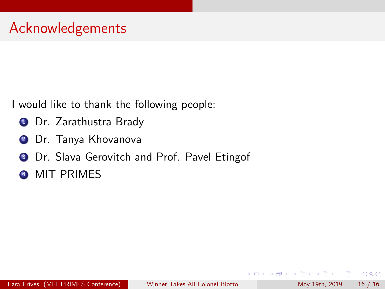- **1** Dr. Zarathustra Brady
- <sup>2</sup> Dr. Tanya Khovanova
- **3** Dr. Slava Gerovitch and Prof. Pavel Etingof
- **4 MIT PRIMES**

目

 $QQ$ 

ヨメ メヨメ

**∢ ⊡**